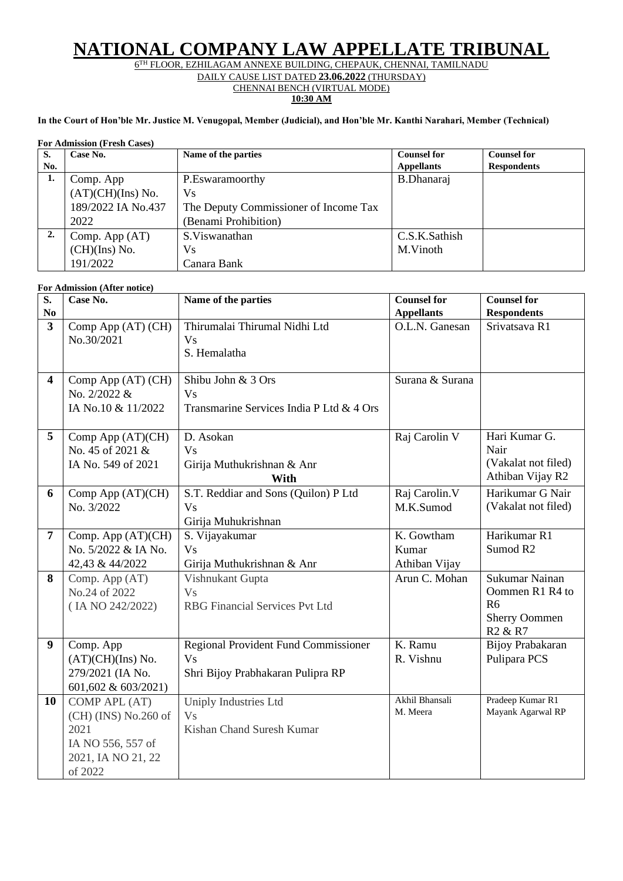## **NATIONAL COMPANY LAW APPELLATE TRIBUNAL**

6 TH FLOOR, EZHILAGAM ANNEXE BUILDING, CHEPAUK, CHENNAI, TAMILNADU

DAILY CAUSE LIST DATED **23.06.2022** (THURSDAY)

CHENNAI BENCH (VIRTUAL MODE) **10:30 AM**

## **In the Court of Hon'ble Mr. Justice M. Venugopal, Member (Judicial), and Hon'ble Mr. Kanthi Narahari, Member (Technical)**

## **For Admission (Fresh Cases)**

| S.  | Case No.           | Name of the parties                   | <b>Counsel for</b> | <b>Counsel for</b> |
|-----|--------------------|---------------------------------------|--------------------|--------------------|
| No. |                    |                                       | <b>Appellants</b>  | <b>Respondents</b> |
| 1.  | Comp. App          | P.Eswaramoorthy                       | B.Dhanaraj         |                    |
|     | (AT)(CH)(Ins) No.  | <b>Vs</b>                             |                    |                    |
|     | 189/2022 IA No.437 | The Deputy Commissioner of Income Tax |                    |                    |
|     | 2022               | (Benami Prohibition)                  |                    |                    |
| 2.  | Comp. App $(AT)$   | S. Viswanathan                        | C.S.K.Sathish      |                    |
|     | (CH)(Ins) No.      | Vs                                    | M.Vinoth           |                    |
|     | 191/2022           | Canara Bank                           |                    |                    |

## **For Admission (After notice)**

| S.<br>$\bf No$          | Case No.                                                                                              | Name of the parties                                                                           | <b>Counsel for</b><br><b>Appellants</b> | <b>Counsel for</b><br><b>Respondents</b>                                                                       |
|-------------------------|-------------------------------------------------------------------------------------------------------|-----------------------------------------------------------------------------------------------|-----------------------------------------|----------------------------------------------------------------------------------------------------------------|
| $\overline{\mathbf{3}}$ | Comp App (AT) (CH)<br>No.30/2021                                                                      | Thirumalai Thirumal Nidhi Ltd<br><b>Vs</b><br>S. Hemalatha                                    | O.L.N. Ganesan                          | Srivatsava R1                                                                                                  |
| $\overline{\mathbf{4}}$ | Comp App (AT) (CH)<br>No. 2/2022 &<br>IA No.10 & 11/2022                                              | Shibu John & 3 Ors<br><b>Vs</b><br>Transmarine Services India P Ltd & 4 Ors                   | Surana & Surana                         |                                                                                                                |
| 5                       | Comp App (AT)(CH)<br>No. 45 of 2021 &<br>IA No. 549 of 2021                                           | D. Asokan<br>V <sub>S</sub><br>Girija Muthukrishnan & Anr<br>With                             | Raj Carolin V                           | Hari Kumar G.<br>Nair<br>(Vakalat not filed)<br>Athiban Vijay R2                                               |
| 6                       | Comp App (AT)(CH)<br>No. 3/2022                                                                       | S.T. Reddiar and Sons (Quilon) P Ltd<br><b>Vs</b><br>Girija Muhukrishnan                      | Raj Carolin.V<br>M.K.Sumod              | Harikumar G Nair<br>(Vakalat not filed)                                                                        |
| $\overline{7}$          | Comp. App (AT)(CH)<br>No. 5/2022 & IA No.<br>42,43 & 44/2022                                          | S. Vijayakumar<br><b>Vs</b><br>Girija Muthukrishnan & Anr                                     | K. Gowtham<br>Kumar<br>Athiban Vijay    | Harikumar R1<br>Sumod R <sub>2</sub>                                                                           |
| 8                       | Comp. App (AT)<br>No.24 of 2022<br>(IA NO 242/2022)                                                   | Vishnukant Gupta<br><b>Vs</b><br><b>RBG</b> Financial Services Pvt Ltd                        | Arun C. Mohan                           | Sukumar Nainan<br>Oommen R1 R4 to<br>R <sub>6</sub><br><b>Sherry Oommen</b><br>R <sub>2</sub> & R <sub>7</sub> |
| 9                       | Comp. App<br>(AT)(CH)(Ins) No.<br>279/2021 (IA No.<br>601,602 & 603/2021)                             | <b>Regional Provident Fund Commissioner</b><br><b>Vs</b><br>Shri Bijoy Prabhakaran Pulipra RP | K. Ramu<br>R. Vishnu                    | Bijoy Prabakaran<br>Pulipara PCS                                                                               |
| 10                      | COMP APL (AT)<br>$(CH)$ (INS) No.260 of<br>2021<br>IA NO 556, 557 of<br>2021, IA NO 21, 22<br>of 2022 | Uniply Industries Ltd<br><b>Vs</b><br>Kishan Chand Suresh Kumar                               | Akhil Bhansali<br>M. Meera              | Pradeep Kumar R1<br>Mayank Agarwal RP                                                                          |